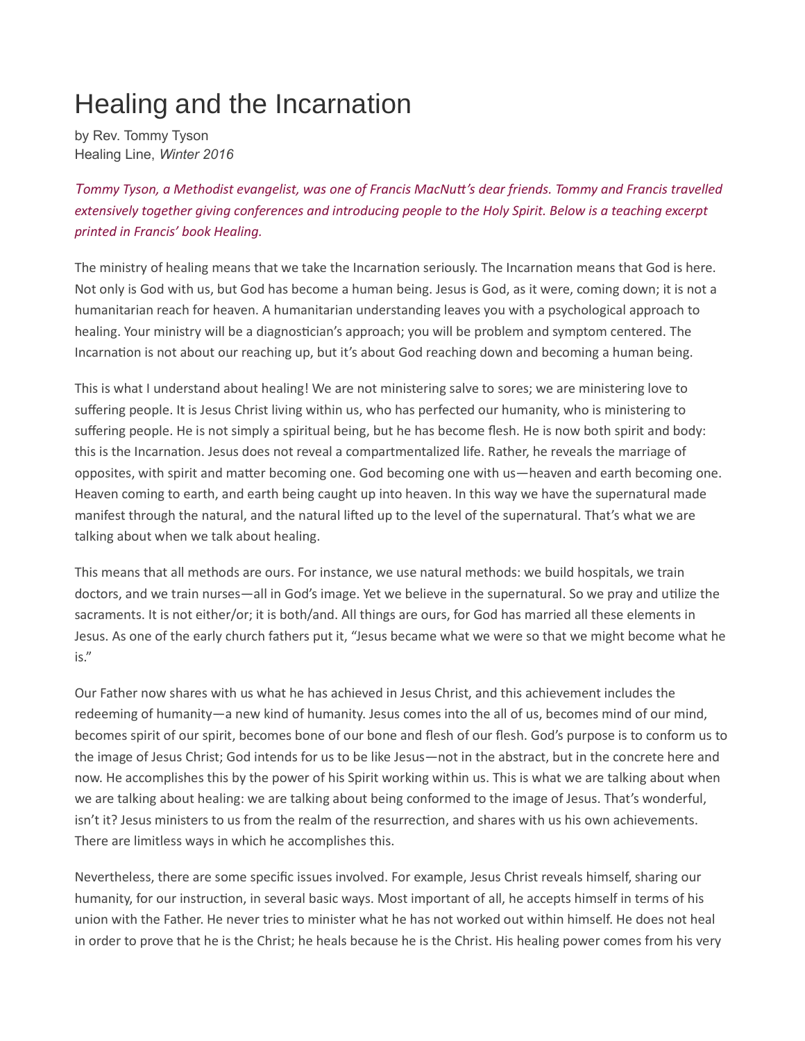## Healing and the Incarnation

by Rev. Tommy Tyson Healing Line, Winter 2016

Tommy Tyson, a Methodist evangelist, was one of Francis MacNuƩ's dear friends. Tommy and Francis travelled extensively together giving conferences and introducing people to the Holy Spirit. Below is a teaching excerpt printed in Francis' book Healing.

The ministry of healing means that we take the Incarnation seriously. The Incarnation means that God is here. Not only is God with us, but God has become a human being. Jesus is God, as it were, coming down; it is not a humanitarian reach for heaven. A humanitarian understanding leaves you with a psychological approach to healing. Your ministry will be a diagnostician's approach; you will be problem and symptom centered. The Incarnation is not about our reaching up, but it's about God reaching down and becoming a human being.

This is what I understand about healing! We are not ministering salve to sores; we are ministering love to suffering people. It is Jesus Christ living within us, who has perfected our humanity, who is ministering to suffering people. He is not simply a spiritual being, but he has become flesh. He is now both spirit and body: this is the Incarnation. Jesus does not reveal a compartmentalized life. Rather, he reveals the marriage of opposites, with spirit and matter becoming one. God becoming one with us—heaven and earth becoming one. Heaven coming to earth, and earth being caught up into heaven. In this way we have the supernatural made manifest through the natural, and the natural lifted up to the level of the supernatural. That's what we are talking about when we talk about healing.

This means that all methods are ours. For instance, we use natural methods: we build hospitals, we train doctors, and we train nurses—all in God's image. Yet we believe in the supernatural. So we pray and utilize the sacraments. It is not either/or; it is both/and. All things are ours, for God has married all these elements in Jesus. As one of the early church fathers put it, "Jesus became what we were so that we might become what he is."

Our Father now shares with us what he has achieved in Jesus Christ, and this achievement includes the redeeming of humanity—a new kind of humanity. Jesus comes into the all of us, becomes mind of our mind, becomes spirit of our spirit, becomes bone of our bone and flesh of our flesh. God's purpose is to conform us to the image of Jesus Christ; God intends for us to be like Jesus—not in the abstract, but in the concrete here and now. He accomplishes this by the power of his Spirit working within us. This is what we are talking about when we are talking about healing: we are talking about being conformed to the image of Jesus. That's wonderful, isn't it? Jesus ministers to us from the realm of the resurrection, and shares with us his own achievements. There are limitless ways in which he accomplishes this.

Nevertheless, there are some specific issues involved. For example, Jesus Christ reveals himself, sharing our humanity, for our instruction, in several basic ways. Most important of all, he accepts himself in terms of his union with the Father. He never tries to minister what he has not worked out within himself. He does not heal in order to prove that he is the Christ; he heals because he is the Christ. His healing power comes from his very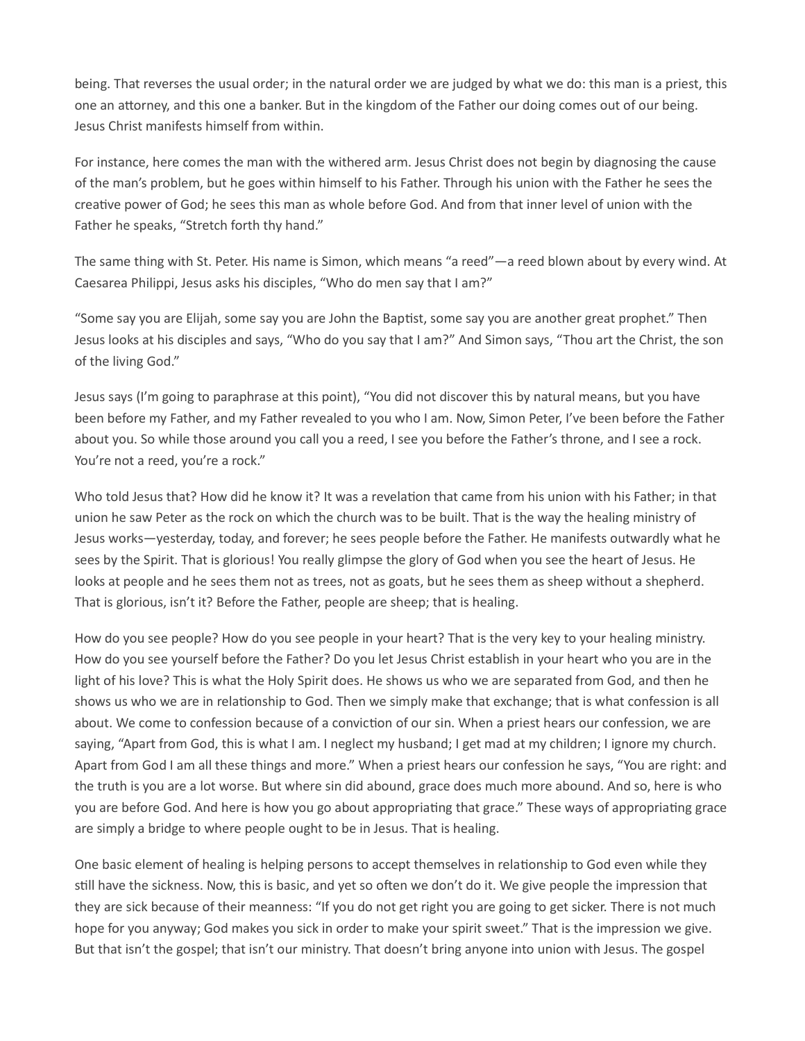being. That reverses the usual order; in the natural order we are judged by what we do: this man is a priest, this one an attorney, and this one a banker. But in the kingdom of the Father our doing comes out of our being. Jesus Christ manifests himself from within.

For instance, here comes the man with the withered arm. Jesus Christ does not begin by diagnosing the cause of the man's problem, but he goes within himself to his Father. Through his union with the Father he sees the creative power of God; he sees this man as whole before God. And from that inner level of union with the Father he speaks, "Stretch forth thy hand."

The same thing with St. Peter. His name is Simon, which means "a reed"—a reed blown about by every wind. At Caesarea Philippi, Jesus asks his disciples, "Who do men say that I am?"

"Some say you are Elijah, some say you are John the Baptist, some say you are another great prophet." Then Jesus looks at his disciples and says, "Who do you say that I am?" And Simon says, "Thou art the Christ, the son of the living God."

Jesus says (I'm going to paraphrase at this point), "You did not discover this by natural means, but you have been before my Father, and my Father revealed to you who I am. Now, Simon Peter, I've been before the Father about you. So while those around you call you a reed, I see you before the Father's throne, and I see a rock. You're not a reed, you're a rock."

Who told Jesus that? How did he know it? It was a revelation that came from his union with his Father; in that union he saw Peter as the rock on which the church was to be built. That is the way the healing ministry of Jesus works—yesterday, today, and forever; he sees people before the Father. He manifests outwardly what he sees by the Spirit. That is glorious! You really glimpse the glory of God when you see the heart of Jesus. He looks at people and he sees them not as trees, not as goats, but he sees them as sheep without a shepherd. That is glorious, isn't it? Before the Father, people are sheep; that is healing.

How do you see people? How do you see people in your heart? That is the very key to your healing ministry. How do you see yourself before the Father? Do you let Jesus Christ establish in your heart who you are in the light of his love? This is what the Holy Spirit does. He shows us who we are separated from God, and then he shows us who we are in relationship to God. Then we simply make that exchange; that is what confession is all about. We come to confession because of a conviction of our sin. When a priest hears our confession, we are saying, "Apart from God, this is what I am. I neglect my husband; I get mad at my children; I ignore my church. Apart from God I am all these things and more." When a priest hears our confession he says, "You are right: and the truth is you are a lot worse. But where sin did abound, grace does much more abound. And so, here is who you are before God. And here is how you go about appropriating that grace." These ways of appropriating grace are simply a bridge to where people ought to be in Jesus. That is healing.

One basic element of healing is helping persons to accept themselves in relationship to God even while they still have the sickness. Now, this is basic, and yet so often we don't do it. We give people the impression that they are sick because of their meanness: "If you do not get right you are going to get sicker. There is not much hope for you anyway; God makes you sick in order to make your spirit sweet." That is the impression we give. But that isn't the gospel; that isn't our ministry. That doesn't bring anyone into union with Jesus. The gospel